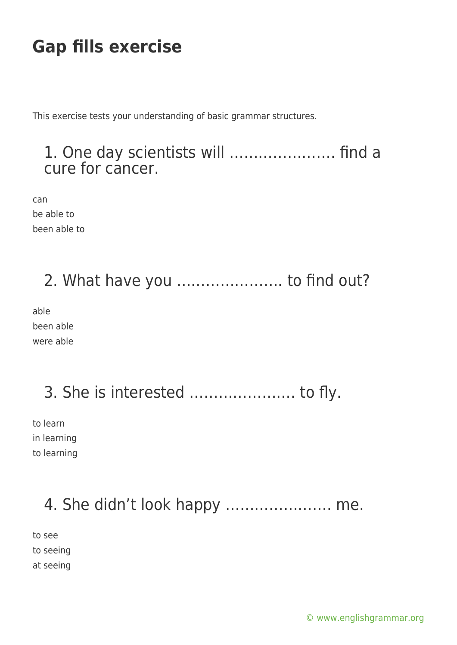This exercise tests your understanding of basic grammar structures.

### 1. One day scientists will …………………. find a cure for cancer.

can be able to been able to

## 2. What have you …………………. to find out?

able been able were able

## 3. She is interested …………………. to fly.

to learn in learning to learning

### 4. She didn't look happy …………………. me.

to see to seeing at seeing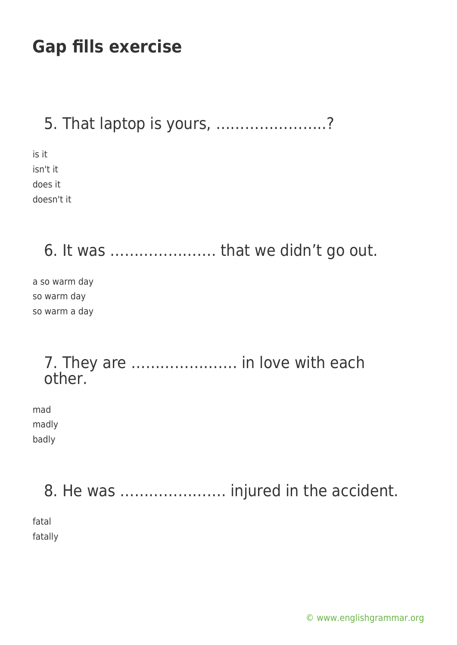### 5. That laptop is yours, …………………..?

is it isn't it does it doesn't it

6. It was …………………. that we didn't go out.

a so warm day so warm day so warm a day

#### 7. They are …………………. in love with each other.

mad madly badly

8. He was …………………. injured in the accident.

fatal fatally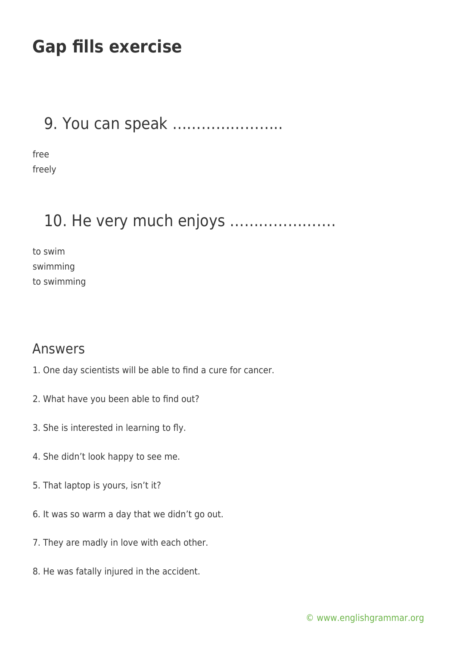### 9. You can speak …………………..

free freely

### 10. He very much enjoys ………………….

to swim swimming to swimming

#### Answers

- 1. One day scientists will be able to find a cure for cancer.
- 2. What have you been able to find out?
- 3. She is interested in learning to fly.
- 4. She didn't look happy to see me.
- 5. That laptop is yours, isn't it?
- 6. It was so warm a day that we didn't go out.
- 7. They are madly in love with each other.
- 8. He was fatally injured in the accident.